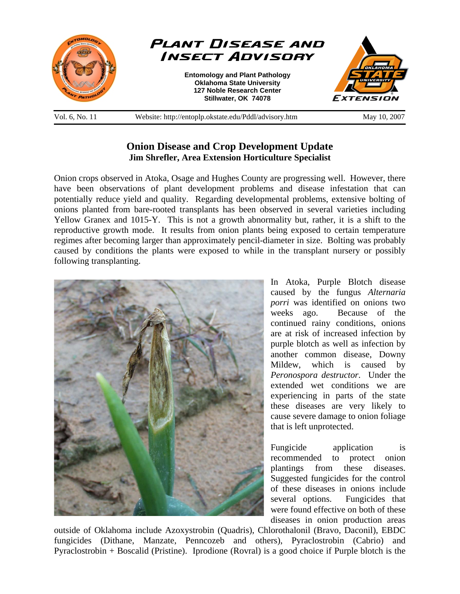

Vol. 6, No. 11 Website: http://entoplp.okstate.edu/Pddl/advisory.htm May 10, 2007

## **Onion Disease and Crop Development Update Jim Shrefler, Area Extension Horticulture Specialist**

Onion crops observed in Atoka, Osage and Hughes County are progressing well. However, there have been observations of plant development problems and disease infestation that can potentially reduce yield and quality. Regarding developmental problems, extensive bolting of onions planted from bare-rooted transplants has been observed in several varieties including Yellow Granex and 1015-Y. This is not a growth abnormality but, rather, it is a shift to the reproductive growth mode. It results from onion plants being exposed to certain temperature regimes after becoming larger than approximately pencil-diameter in size. Bolting was probably caused by conditions the plants were exposed to while in the transplant nursery or possibly following transplanting.



In Atoka, Purple Blotch disease caused by the fungus *Alternaria porri* was identified on onions two weeks ago. Because of the continued rainy conditions, onions are at risk of increased infection by purple blotch as well as infection by another common disease, Downy Mildew, which is caused by *Peronospora destructor*. Under the extended wet conditions we are experiencing in parts of the state these diseases are very likely to cause severe damage to onion foliage that is left unprotected.

Fungicide application is recommended to protect onion plantings from these diseases. Suggested fungicides for the control of these diseases in onions include several options. Fungicides that were found effective on both of these diseases in onion production areas

outside of Oklahoma include Azoxystrobin (Quadris), Chlorothalonil (Bravo, Daconil), EBDC fungicides (Dithane, Manzate, Penncozeb and others), Pyraclostrobin (Cabrio) and Pyraclostrobin + Boscalid (Pristine). Iprodione (Rovral) is a good choice if Purple blotch is the